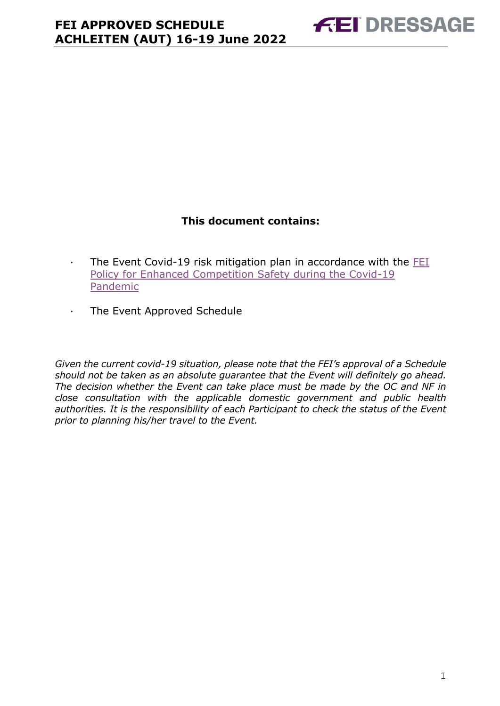### **This document contains:**

- <span id="page-0-0"></span>· The Event Covid-19 risk mitigation plan in accordance with the [FEI](https://inside.fei.org/fei/covid-19/return-to-play)  [Policy for Enhanced Competition Safety during the Covid-19](https://inside.fei.org/fei/covid-19/return-to-play)  [Pandemic](https://inside.fei.org/fei/covid-19/return-to-play)
- · The Event Approved Schedule

*Given the current covid-19 situation, please note that the FEI's approval of a Schedule should not be taken as an absolute guarantee that the Event will definitely go ahead. The decision whether the Event can take place must be made by the OC and NF in close consultation with the applicable domestic government and public health authorities. It is the responsibility of each Participant to check the status of the Event prior to planning his/her travel to the Event.*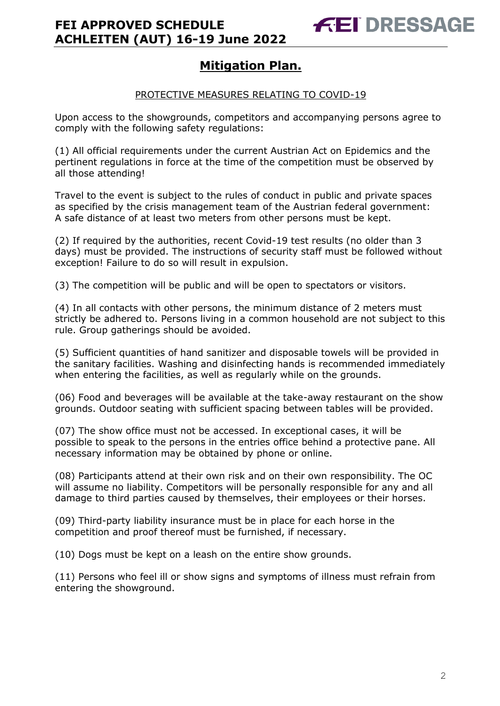### **Mitigation Plan.**

#### PROTECTIVE MEASURES RELATING TO COVID-19

Upon access to the showgrounds, competitors and accompanying persons agree to comply with the following safety regulations:

(1) All official requirements under the current Austrian Act on Epidemics and the pertinent regulations in force at the time of the competition must be observed by all those attending!

Travel to the event is subject to the rules of conduct in public and private spaces as specified by the crisis management team of the Austrian federal government: A safe distance of at least two meters from other persons must be kept.

(2) If required by the authorities, recent Covid-19 test results (no older than 3 days) must be provided. The instructions of security staff must be followed without exception! Failure to do so will result in expulsion.

(3) The competition will be public and will be open to spectators or visitors.

(4) In all contacts with other persons, the minimum distance of 2 meters must strictly be adhered to. Persons living in a common household are not subject to this rule. Group gatherings should be avoided.

(5) Sufficient quantities of hand sanitizer and disposable towels will be provided in the sanitary facilities. Washing and disinfecting hands is recommended immediately when entering the facilities, as well as regularly while on the grounds.

(06) Food and beverages will be available at the take-away restaurant on the show grounds. Outdoor seating with sufficient spacing between tables will be provided.

(07) The show office must not be accessed. In exceptional cases, it will be possible to speak to the persons in the entries office behind a protective pane. All necessary information may be obtained by phone or online.

(08) Participants attend at their own risk and on their own responsibility. The OC will assume no liability. Competitors will be personally responsible for any and all damage to third parties caused by themselves, their employees or their horses.

(09) Third-party liability insurance must be in place for each horse in the competition and proof thereof must be furnished, if necessary.

(10) Dogs must be kept on a leash on the entire show grounds.

(11) Persons who feel ill or show signs and symptoms of illness must refrain from entering the showground.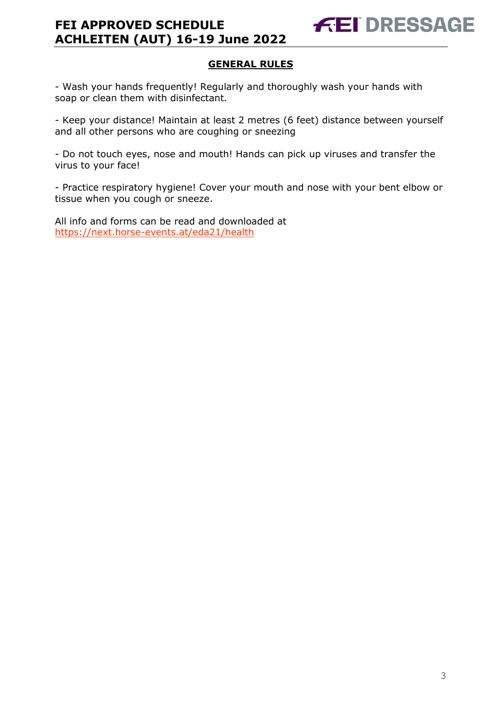#### **GENERAL RULES**

- Wash your hands frequently! Regularly and thoroughly wash your hands with soap or clean them with disinfectant.

- Keep your distance! Maintain at least 2 metres (6 feet) distance between yourself and all other persons who are coughing or sneezing

- Do not touch eyes, nose and mouth! Hands can pick up viruses and transfer the virus to your face!

- Practice respiratory hygiene! Cover your mouth and nose with your bent elbow or tissue when you cough or sneeze.

All info and forms can be read and downloaded at <https://next.horse-events.at/eda21/health>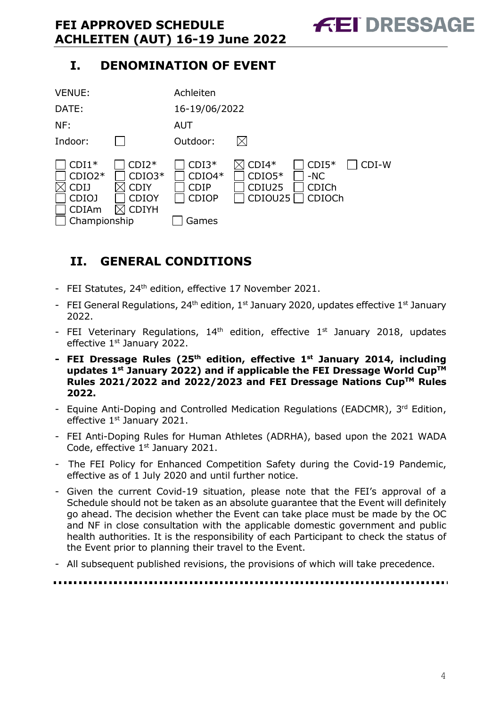### **I. DENOMINATION OF EVENT**



## <span id="page-3-0"></span>**II. GENERAL CONDITIONS**

- FEI Statutes, 24<sup>th</sup> edition, effective 17 November 2021.
- FEI General Regulations, 24<sup>th</sup> edition, 1<sup>st</sup> January 2020, updates effective 1<sup>st</sup> January 2022.
- FEI Veterinary Regulations,  $14<sup>th</sup>$  edition, effective  $1<sup>st</sup>$  January 2018, updates effective 1<sup>st</sup> January 2022.
- **- FEI Dressage Rules (25 th edition, effective 1st January 2014, including updates 1 st January 2022) and if applicable the FEI Dressage World CupTM Rules 2021/2022 and 2022/2023 and FEI Dressage Nations CupTM Rules 2022.**
- Equine Anti-Doping and Controlled Medication Regulations (EADCMR), 3rd Edition, effective 1<sup>st</sup> January 2021.
- FEI Anti-Doping Rules for Human Athletes (ADRHA), based upon the 2021 WADA Code, effective 1<sup>st</sup> January 2021.
- The FEI Policy for Enhanced Competition Safety during the Covid-19 Pandemic, effective as of 1 July 2020 and until further notice.
- Given the current Covid-19 situation, please note that the FEI's approval of a Schedule should not be taken as an absolute guarantee that the Event will definitely go ahead. The decision whether the Event can take place must be made by the OC and NF in close consultation with the applicable domestic government and public health authorities. It is the responsibility of each Participant to check the status of the Event prior to planning their travel to the Event.
- All subsequent published revisions, the provisions of which will take precedence.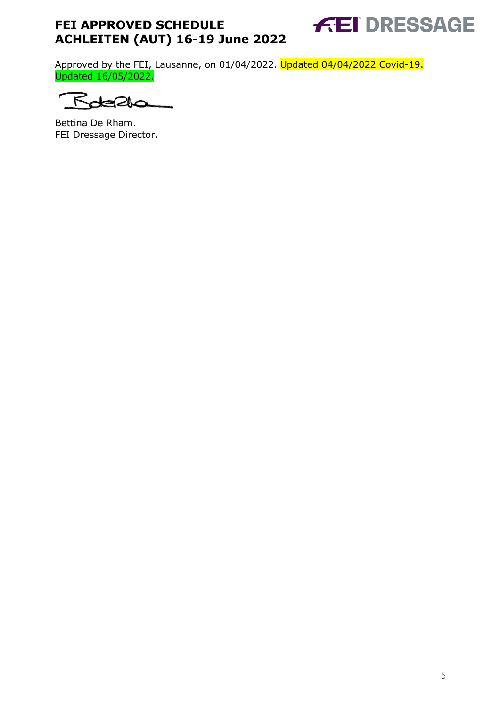**FEI DRESSAGE** 

Approved by the FEI, Lausanne, on 01/04/2022. Updated 04/04/2022 Covid-19. Updated 16/05/2022.

↸ 210

Bettina De Rham. FEI Dressage Director.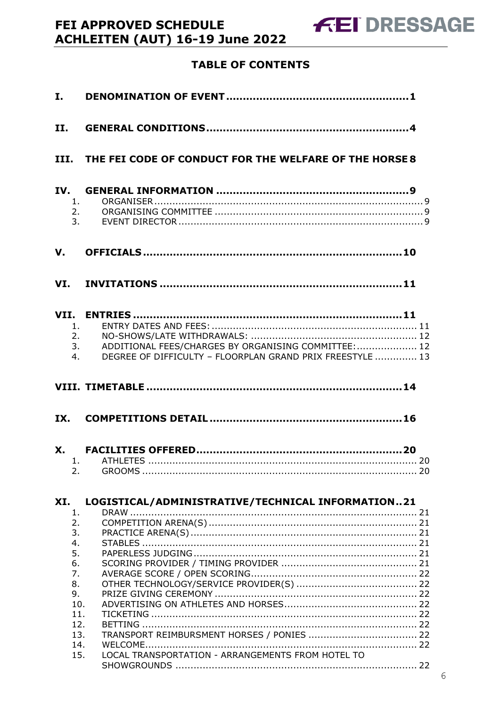## **TABLE OF CONTENTS**

FEI APPROVED SCHEDULE

**ACHLEITEN (AUT) 16-19 June 2022** 

| $\mathbf{I}$ . |                                                                                        |                                                                                                                               |  |
|----------------|----------------------------------------------------------------------------------------|-------------------------------------------------------------------------------------------------------------------------------|--|
| II.            |                                                                                        |                                                                                                                               |  |
|                |                                                                                        | III. THE FEI CODE OF CONDUCT FOR THE WELFARE OF THE HORSE 8                                                                   |  |
| IV.            | 1.<br>2.<br>3.                                                                         |                                                                                                                               |  |
| V.             |                                                                                        |                                                                                                                               |  |
|                |                                                                                        |                                                                                                                               |  |
|                | 1.<br>4.                                                                               | 2.<br>3.<br>ADDITIONAL FEES/CHARGES BY ORGANISING COMMITTEE:  12<br>DEGREE OF DIFFICULTY - FLOORPLAN GRAND PRIX FREESTYLE  13 |  |
|                |                                                                                        |                                                                                                                               |  |
| IX.            |                                                                                        |                                                                                                                               |  |
|                | 2.                                                                                     |                                                                                                                               |  |
| XI.            | 1.                                                                                     | LOGISTICAL/ADMINISTRATIVE/TECHNICAL INFORMATION21                                                                             |  |
|                | 2.<br>3.<br>4.<br>5.<br>6.<br>7.<br>8.<br>9.<br>10.<br>11.<br>12.<br>13.<br>14.<br>15. | LOCAL TRANSPORTATION - ARRANGEMENTS FROM HOTEL TO                                                                             |  |
|                |                                                                                        |                                                                                                                               |  |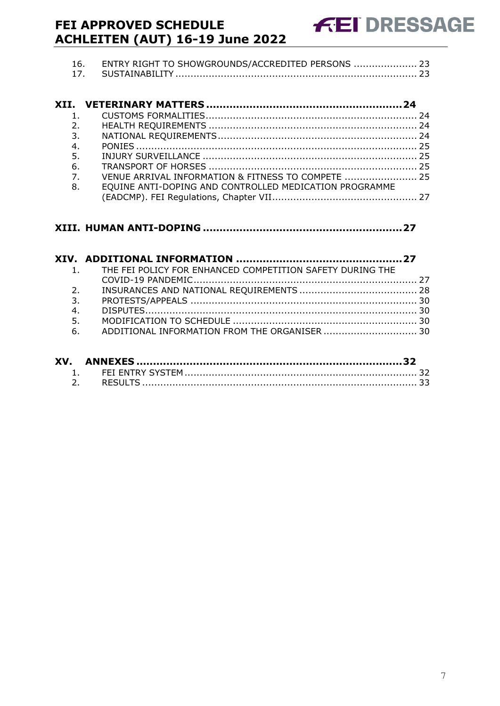| 16. ENTRY RIGHT TO SHOWGROUNDS/ACCREDITED PERSONS  23 |  |
|-------------------------------------------------------|--|
|                                                       |  |

| $\mathbf{1}$                                                           |  |
|------------------------------------------------------------------------|--|
| 2.                                                                     |  |
| 3.                                                                     |  |
| 4.                                                                     |  |
|                                                                        |  |
|                                                                        |  |
| $\overline{7}$ .<br>VENUE ARRIVAL INFORMATION & FITNESS TO COMPETE  25 |  |
| EQUINE ANTI-DOPING AND CONTROLLED MEDICATION PROGRAMME                 |  |
|                                                                        |  |
|                                                                        |  |

|    | 1. THE FEI POLICY FOR ENHANCED COMPETITION SAFETY DURING THE |  |
|----|--------------------------------------------------------------|--|
|    |                                                              |  |
| 2. |                                                              |  |
| 3. |                                                              |  |
| 4. |                                                              |  |
| 5. |                                                              |  |
|    | 6. ADDITIONAL INFORMATION FROM THE ORGANISER  30             |  |
|    |                                                              |  |

| XV. |  |
|-----|--|
|     |  |
|     |  |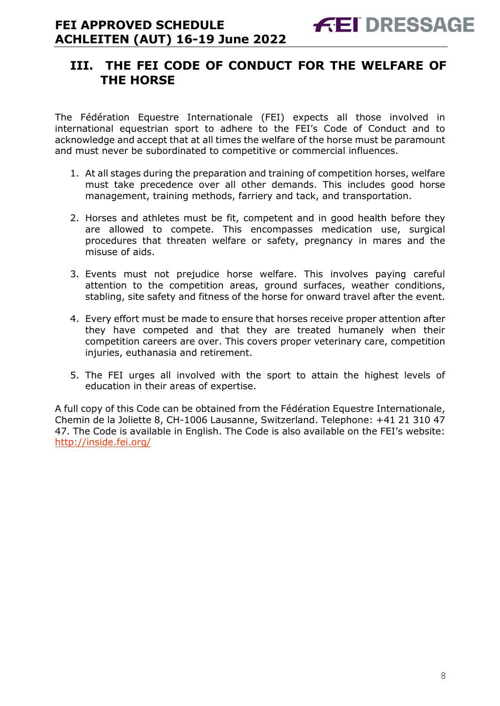### <span id="page-7-0"></span>**III. THE FEI CODE OF CONDUCT FOR THE WELFARE OF THE HORSE**

The Fédération Equestre Internationale (FEI) expects all those involved in international equestrian sport to adhere to the FEI's Code of Conduct and to acknowledge and accept that at all times the welfare of the horse must be paramount and must never be subordinated to competitive or commercial influences.

- 1. At all stages during the preparation and training of competition horses, welfare must take precedence over all other demands. This includes good horse management, training methods, farriery and tack, and transportation.
- 2. Horses and athletes must be fit, competent and in good health before they are allowed to compete. This encompasses medication use, surgical procedures that threaten welfare or safety, pregnancy in mares and the misuse of aids.
- 3. Events must not prejudice horse welfare. This involves paying careful attention to the competition areas, ground surfaces, weather conditions, stabling, site safety and fitness of the horse for onward travel after the event.
- 4. Every effort must be made to ensure that horses receive proper attention after they have competed and that they are treated humanely when their competition careers are over. This covers proper veterinary care, competition injuries, euthanasia and retirement.
- 5. The FEI urges all involved with the sport to attain the highest levels of education in their areas of expertise.

A full copy of this Code can be obtained from the Fédération Equestre Internationale, Chemin de la Joliette 8, CH-1006 Lausanne, Switzerland. Telephone: +41 21 310 47 47. The Code is available in English. The Code is also available on the FEI's website: <http://inside.fei.org/>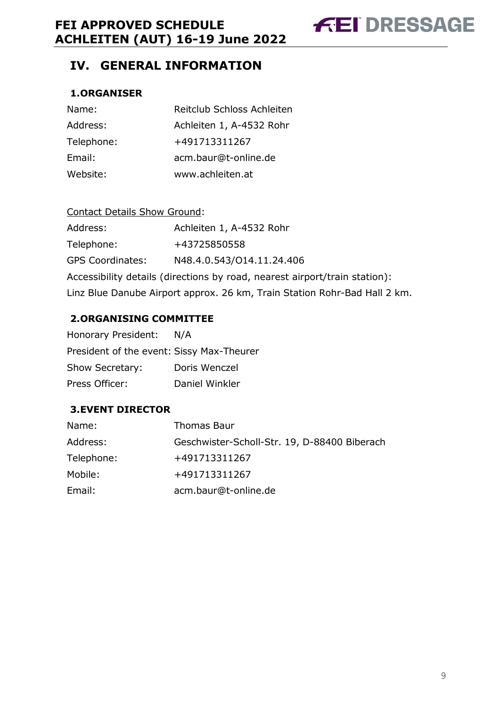**FEI DRESSAGE** 

### <span id="page-8-0"></span>**IV. GENERAL INFORMATION**

#### <span id="page-8-1"></span>**1.ORGANISER**

| Name:      | Reitclub Schloss Achleiten |
|------------|----------------------------|
| Address:   | Achleiten 1, A-4532 Rohr   |
| Telephone: | +491713311267              |
| Email:     | acm.baur@t-online.de       |
| Website:   | www.achleiten.at           |

| <b>Contact Details Show Ground:</b>                                        |                           |  |  |  |  |
|----------------------------------------------------------------------------|---------------------------|--|--|--|--|
| Address:                                                                   | Achleiten 1, A-4532 Rohr  |  |  |  |  |
| Telephone:                                                                 | +43725850558              |  |  |  |  |
| <b>GPS Coordinates:</b>                                                    | N48.4.0.543/014.11.24.406 |  |  |  |  |
| Accessibility details (directions by road, nearest airport/train station): |                           |  |  |  |  |
| Linz Blue Danube Airport approx. 26 km, Train Station Rohr-Bad Hall 2 km.  |                           |  |  |  |  |

#### <span id="page-8-2"></span>**2.ORGANISING COMMITTEE**

| Honorary President:                       | N/A            |
|-------------------------------------------|----------------|
| President of the event: Sissy Max-Theurer |                |
| Show Secretary:                           | Doris Wenczel  |
| Press Officer:                            | Daniel Winkler |

#### <span id="page-8-3"></span>**3.EVENT DIRECTOR**

| Name:      | <b>Thomas Baur</b>                           |
|------------|----------------------------------------------|
| Address:   | Geschwister-Scholl-Str. 19, D-88400 Biberach |
| Telephone: | +491713311267                                |
| Mobile:    | +491713311267                                |
| Email:     | acm.baur@t-online.de                         |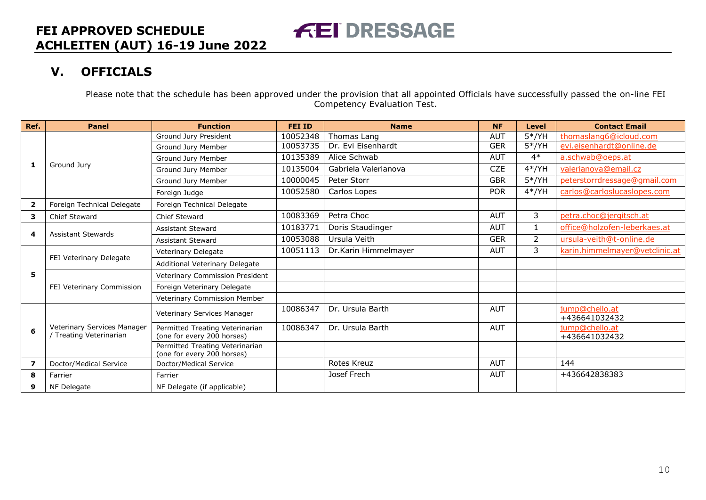### **V. OFFICIALS**

Please note that the schedule has been approved under the provision that all appointed Officials have successfully passed the on-line FEI Competency Evaluation Test.

**FEI DRESSAGE** 

<span id="page-9-0"></span>

| Ref.                    | <b>Panel</b>                | <b>Function</b>                                               | <b>FEI ID</b> | <b>Name</b>          | <b>NF</b>  | Level          | <b>Contact Email</b>            |
|-------------------------|-----------------------------|---------------------------------------------------------------|---------------|----------------------|------------|----------------|---------------------------------|
|                         |                             | Ground Jury President                                         | 10052348      | Thomas Lang          | <b>AUT</b> | $5*/YH$        | thomaslang6@icloud.com          |
|                         |                             | Ground Jury Member                                            | 10053735      | Dr. Evi Eisenhardt   | <b>GER</b> | $5*/YH$        | evi.eisenhardt@online.de        |
|                         |                             | Ground Jury Member                                            | 10135389      | Alice Schwab         | <b>AUT</b> | $4*$           | a.schwab@oeps.at                |
| 1                       | Ground Jury                 | Ground Jury Member                                            | 10135004      | Gabriela Valerianova | <b>CZE</b> | $4*/YH$        | valerianova@email.cz            |
|                         |                             | Ground Jury Member                                            | 10000045      | Peter Storr          | <b>GBR</b> | $5*/YH$        | peterstorrdressage@gmail.com    |
|                         |                             | Foreign Judge                                                 | 10052580      | Carlos Lopes         | <b>POR</b> | $4*/YH$        | carlos@carloslucaslopes.com     |
| $\overline{\mathbf{2}}$ | Foreign Technical Delegate  | Foreign Technical Delegate                                    |               |                      |            |                |                                 |
| 3                       | <b>Chief Steward</b>        | Chief Steward                                                 | 10083369      | Petra Choc           | <b>AUT</b> | 3              | petra.choc@jergitsch.at         |
|                         | <b>Assistant Stewards</b>   | <b>Assistant Steward</b>                                      | 10183771      | Doris Staudinger     | <b>AUT</b> | $\mathbf{1}$   | office@holzofen-leberkaes.at    |
| 4                       |                             | <b>Assistant Steward</b>                                      | 10053088      | Ursula Veith         | <b>GER</b> | $\overline{2}$ | ursula-veith@t-online.de        |
|                         | FEI Veterinary Delegate     | Veterinary Delegate                                           | 10051113      | Dr.Karin Himmelmayer | <b>AUT</b> | 3              | karin.himmelmayer@vetclinic.at  |
|                         |                             | Additional Veterinary Delegate                                |               |                      |            |                |                                 |
| 5                       | FEI Veterinary Commission   | Veterinary Commission President                               |               |                      |            |                |                                 |
|                         |                             | Foreign Veterinary Delegate                                   |               |                      |            |                |                                 |
|                         |                             | Veterinary Commission Member                                  |               |                      |            |                |                                 |
|                         |                             | Veterinary Services Manager                                   | 10086347      | Dr. Ursula Barth     | <b>AUT</b> |                | jump@chello.at                  |
|                         | Veterinary Services Manager |                                                               | 10086347      | Dr. Ursula Barth     | <b>AUT</b> |                | +436641032432<br>jump@chello.at |
| 6                       | / Treating Veterinarian     | Permitted Treating Veterinarian<br>(one for every 200 horses) |               |                      |            |                | +436641032432                   |
|                         |                             | Permitted Treating Veterinarian<br>(one for every 200 horses) |               |                      |            |                |                                 |
| 7                       | Doctor/Medical Service      | Doctor/Medical Service                                        |               | Rotes Kreuz          | <b>AUT</b> |                | 144                             |
| 8                       | Farrier                     | Farrier                                                       |               | Josef Frech          | <b>AUT</b> |                | +436642838383                   |
| 9                       | NF Delegate                 | NF Delegate (if applicable)                                   |               |                      |            |                |                                 |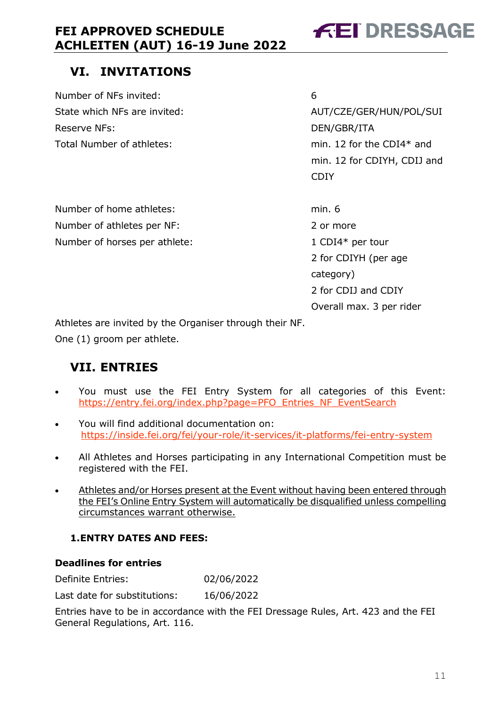# **FEI DRESSAGE**

## <span id="page-10-0"></span>**VI. INVITATIONS**

Number of NFs invited: 6 Reserve NFs: DEN/GBR/ITA Total Number of athletes: min. 12 for the CDI4\* and

State which NFs are invited:  $AUT/CZE/GER/HUN/POL/SUI$  min. 12 for CDIYH, CDIJ and **CDIY COLLECTION** 

Number of home athletes: min. 6 Number of athletes per NF: 2 or more Number of horses per athlete: 1 CDI4\* per tour

 2 for CDIYH (per age category) 2 for CDIJ and CDIY Overall max. 3 per rider

Athletes are invited by the Organiser through their NF.

One (1) groom per athlete.

### <span id="page-10-1"></span>**VII. ENTRIES**

- You must use the FEI Entry System for all categories of this Event: [https://entry.fei.org/index.php?page=PFO\\_Entries\\_NF\\_EventSearch](https://entry.fei.org/index.php?page=PFO_Entries_NF_EventSearch)
- You will find additional documentation on: <https://inside.fei.org/fei/your-role/it-services/it-platforms/fei-entry-system>
- All Athletes and Horses participating in any International Competition must be registered with the FEI.
- Athletes and/or Horses present at the Event without having been entered through the FEI's Online Entry System will automatically be disqualified unless compelling circumstances warrant otherwise.

### <span id="page-10-2"></span>**1.ENTRY DATES AND FEES:**

#### **Deadlines for entries**

Definite Entries: 02/06/2022

Last date for substitutions: 16/06/2022

Entries have to be in accordance with the FEI Dressage Rules, Art. 423 and the FEI General Regulations, Art. 116.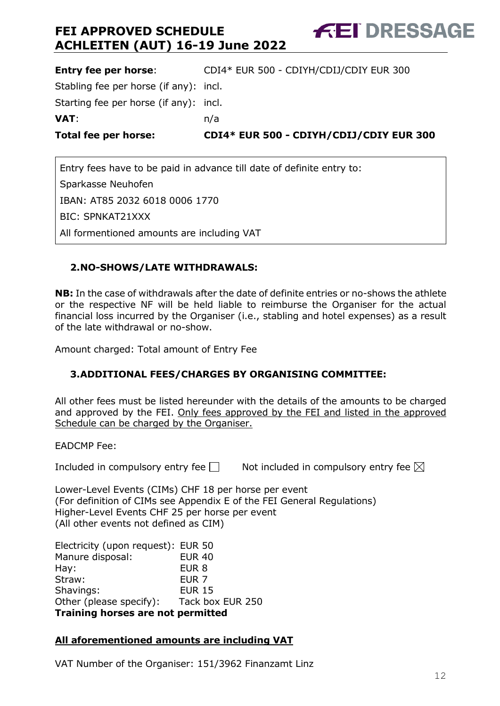**Entry fee per horse**: CDI4\* EUR 500 - CDIYH/CDIJ/CDIY EUR 300 Stabling fee per horse (if any): incl. Starting fee per horse (if any): incl. **VAT**: n/a **Total fee per horse: CDI4\* EUR 500 - CDIYH/CDIJ/CDIY EUR 300**

Entry fees have to be paid in advance till date of definite entry to: Sparkasse Neuhofen IBAN: AT85 2032 6018 0006 1770 BIC: SPNKAT21XXX All formentioned amounts are including VAT

#### <span id="page-11-0"></span>**2.NO-SHOWS/LATE WITHDRAWALS:**

**NB:** In the case of withdrawals after the date of definite entries or no-shows the athlete or the respective NF will be held liable to reimburse the Organiser for the actual financial loss incurred by the Organiser (i.e., stabling and hotel expenses) as a result of the late withdrawal or no-show.

Amount charged: Total amount of Entry Fee

#### <span id="page-11-1"></span>**3.ADDITIONAL FEES/CHARGES BY ORGANISING COMMITTEE:**

All other fees must be listed hereunder with the details of the amounts to be charged and approved by the FEI. Only fees approved by the FEI and listed in the approved Schedule can be charged by the Organiser.

EADCMP Fee:

Included in compulsory entry fee  $\Box$  Not included in compulsory entry fee  $\boxtimes$ 

**FEI DRESSAGE** 

Lower-Level Events (CIMs) CHF 18 per horse per event (For definition of CIMs see Appendix E of the FEI General Regulations) Higher-Level Events CHF 25 per horse per event (All other events not defined as CIM)

Electricity (upon request): EUR 50 Manure disposal: EUR 40 Hay: EUR 8 Straw: EUR 7 Shavings: EUR 15 Other (please specify): Tack box EUR 250 **Training horses are not permitted**

#### **All aforementioned amounts are including VAT**

VAT Number of the Organiser: 151/3962 Finanzamt Linz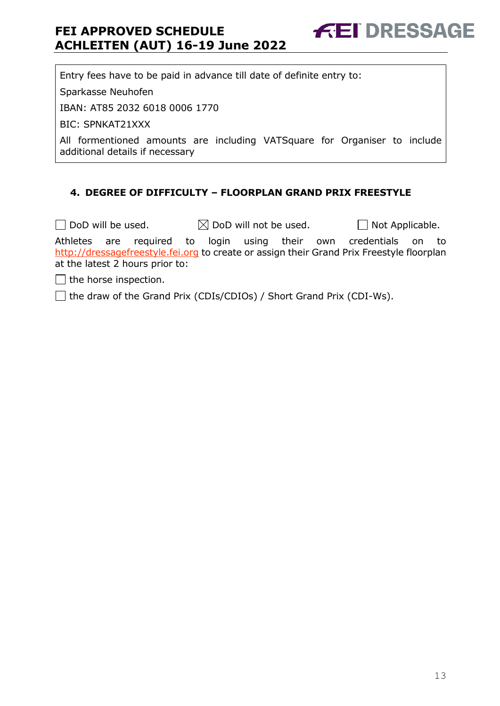**FEI DRESSAGE** 

Entry fees have to be paid in advance till date of definite entry to:

Sparkasse Neuhofen

IBAN: AT85 2032 6018 0006 1770

BIC: SPNKAT21XXX

All formentioned amounts are including VATSquare for Organiser to include additional details if necessary

#### <span id="page-12-0"></span>**4. DEGREE OF DIFFICULTY – FLOORPLAN GRAND PRIX FREESTYLE**

 $\Box$  DoD will be used.  $\boxtimes$  DoD will not be used.  $\Box$  Not Applicable. Athletes are required to login using their own credentials on to [http://dressagefreestyle.fei.org](http://dressagefreestyle.fei.org/) to create or assign their Grand Prix Freestyle floorplan at the latest 2 hours prior to:

 $\Box$  the horse inspection.

 $\Box$  the draw of the Grand Prix (CDIs/CDIOs) / Short Grand Prix (CDI-Ws).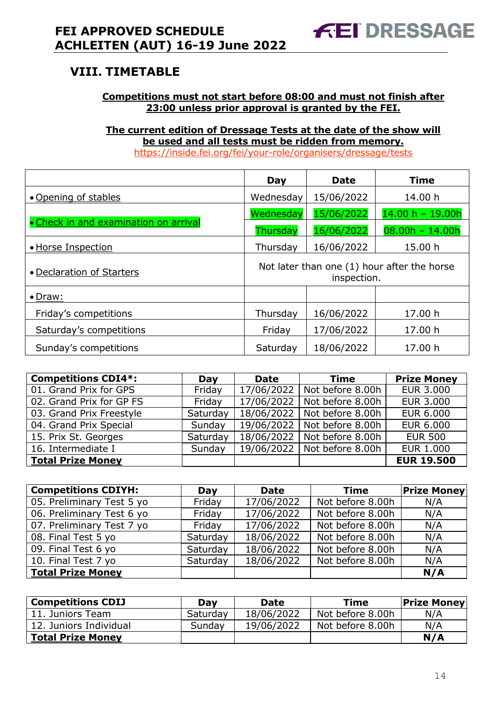## <span id="page-13-0"></span>**VIII. TIMETABLE**

#### **Competitions must not start before 08:00 and must not finish after 23:00 unless prior approval is granted by the FEI.**

### **The current edition of Dressage Tests at the date of the show will be used and all tests must be ridden from memory.**

<https://inside.fei.org/fei/your-role/organisers/dressage/tests>

|                                       | Day                                                        | <b>Date</b> | <b>Time</b>        |  |
|---------------------------------------|------------------------------------------------------------|-------------|--------------------|--|
| • Opening of stables                  | Wednesday                                                  | 15/06/2022  | 14.00 h            |  |
|                                       | Wednesday                                                  | 15/06/2022  | $14.00 h - 19.00h$ |  |
| • Check in and examination on arrival | Thursday                                                   | 16/06/2022  | $08.00h - 14.00h$  |  |
| · Horse Inspection                    | Thursday                                                   | 16/06/2022  | 15.00 h            |  |
| • Declaration of Starters             | Not later than one (1) hour after the horse<br>inspection. |             |                    |  |
| $\bullet$ Draw:                       |                                                            |             |                    |  |
| Friday's competitions                 | Thursday                                                   | 16/06/2022  | 17.00 h            |  |
| Saturday's competitions               | Friday                                                     | 17/06/2022  | 17.00 h            |  |
| Sunday's competitions                 | Saturday                                                   | 18/06/2022  | 17.00 h            |  |

| <b>Competitions CDI4*:</b> | Day      | <b>Date</b> | <b>Time</b>      | <b>Prize Money</b> |
|----------------------------|----------|-------------|------------------|--------------------|
| 01. Grand Prix for GPS     | Friday   | 17/06/2022  | Not before 8.00h | <b>EUR 3.000</b>   |
| 02. Grand Prix for GP FS   | Friday   | 17/06/2022  | Not before 8.00h | <b>EUR 3.000</b>   |
| 03. Grand Prix Freestyle   | Saturday | 18/06/2022  | Not before 8.00h | EUR 6.000          |
| 04. Grand Prix Special     | Sunday   | 19/06/2022  | Not before 8.00h | EUR 6.000          |
| 15. Prix St. Georges       | Saturday | 18/06/2022  | Not before 8.00h | <b>EUR 500</b>     |
| 16. Intermediate I         | Sunday   | 19/06/2022  | Not before 8.00h | <b>EUR 1.000</b>   |
| Total Prize Money          |          |             |                  | <b>EUR 19.500</b>  |

| <b>Competitions CDIYH:</b> | Day      | <b>Date</b> | <b>Time</b>      | <b>Prize Money</b> |
|----------------------------|----------|-------------|------------------|--------------------|
| 05. Preliminary Test 5 yo  | Friday   | 17/06/2022  | Not before 8.00h | N/A                |
| 06. Preliminary Test 6 yo  | Friday   | 17/06/2022  | Not before 8.00h | N/A                |
| 07. Preliminary Test 7 yo  | Friday   | 17/06/2022  | Not before 8.00h | N/A                |
| 08. Final Test 5 yo        | Saturday | 18/06/2022  | Not before 8.00h | N/A                |
| 09. Final Test 6 yo        | Saturday | 18/06/2022  | Not before 8.00h | N/A                |
| 10. Final Test 7 yo        | Saturday | 18/06/2022  | Not before 8.00h | N/A                |
| <b>Total Prize Money</b>   |          |             |                  | N/A                |

| <b>Competitions CDIJ</b> | Day      | <b>Date</b> | Time             | <b>Prize Money</b> |
|--------------------------|----------|-------------|------------------|--------------------|
| 11. Juniors Team         | Saturday | 18/06/2022  | Not before 8.00h | N/A                |
| 12. Juniors Individual   | Sunday   | 19/06/2022  | Not before 8.00h | N/A                |
| <b>Total Prize Money</b> |          |             |                  | N/A                |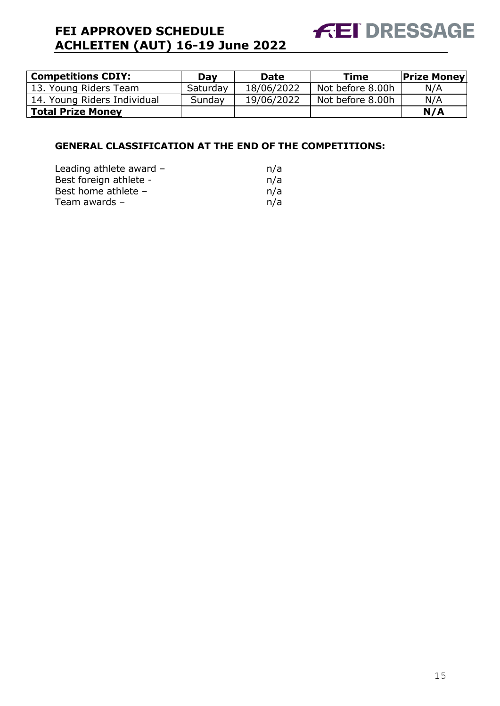

| <b>Competitions CDIY:</b>   | Day      | <b>Date</b> | <b>Time</b>      | <b>Prize Money</b> |
|-----------------------------|----------|-------------|------------------|--------------------|
| 13. Young Riders Team       | Saturday | 18/06/2022  | Not before 8.00h | N/A                |
| 14. Young Riders Individual | Sunday   | 19/06/2022  | Not before 8.00h | N/A                |
| <b>Total Prize Money</b>    |          |             |                  | N/A                |

#### **GENERAL CLASSIFICATION AT THE END OF THE COMPETITIONS:**

| n/a |
|-----|
| n/a |
| n/a |
| n/a |
|     |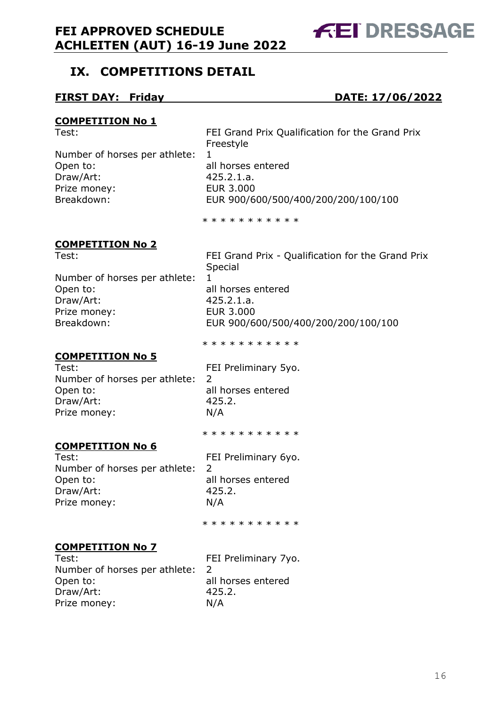### <span id="page-15-0"></span>**IX. COMPETITIONS DETAIL**

#### **FIRST DAY: Friday DATE: 17/06/2022**

#### **COMPETITION No 1**

Number of horses per athlete: 1 Open to: all horses entered Draw/Art: 425.2.1.a. Prize money: EUR 3.000

Test: FEI Grand Prix Qualification for the Grand Prix Freestyle Breakdown: EUR 900/600/500/400/200/200/100/100

\* \* \* \* \* \* \* \* \* \*

#### **COMPETITION No 2**

Test: FEI Grand Prix - Qualification for the Grand Prix Special

Number of horses per athlete: 1 Open to: all horses entered Draw/Art: 425.2.1.a. Prize money: EUR 3.000

Breakdown: EUR 900/600/500/400/200/200/100/100

**COMPETITION No 5**

Test: Test: FEI Preliminary 5yo. Number of horses per athlete: 2 Open to: all horses entered Draw/Art: 425.2. Prize money: N/A

\* \* \* \* \* \* \* \* \* \*

\* \* \* \* \* \* \* \* \* \*

### **COMPETITION No 6**

Test: Test: FEI Preliminary 6yo. Number of horses per athlete: 2 Open to: all horses entered Draw/Art: 425.2. Prize money: N/A

\* \* \* \* \* \* \* \* \* \*

#### **COMPETITION No 7**

Test: FEI Preliminary 7yo. Number of horses per athlete: 2 Open to: all horses entered Draw/Art: 425.2. Prize money: N/A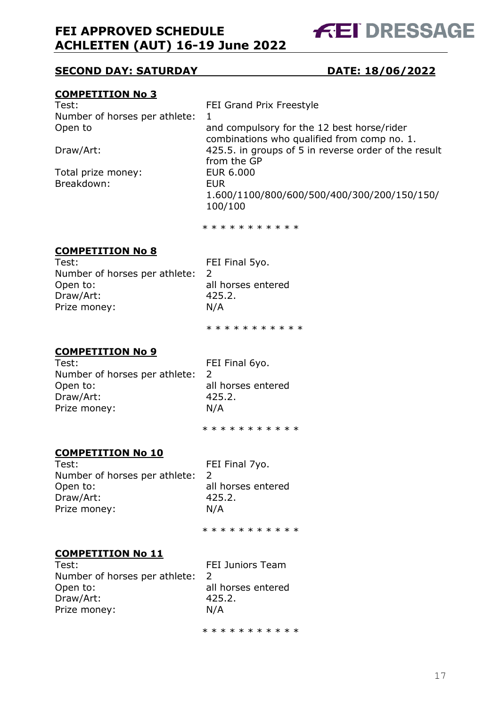**FEI DRESSAGE** 

#### **SECOND DAY: SATURDAY DATE: 18/06/2022**

#### **COMPETITION No 3**

| Test:                         | FEI Grand Prix Freestyle                             |
|-------------------------------|------------------------------------------------------|
| Number of horses per athlete: | 1                                                    |
| Open to                       | and compulsory for the 12 best horse/rider           |
|                               | combinations who qualified from comp no. 1.          |
| Draw/Art:                     | 425.5. in groups of 5 in reverse order of the result |
|                               | from the GP                                          |
| Total prize money:            | <b>EUR 6.000</b>                                     |
| Breakdown:                    | EUR.                                                 |
|                               | 1.600/1100/800/600/500/400/300/200/150/150/          |
|                               | 100/100                                              |

\* \* \* \* \* \* \* \* \* \*

#### **COMPETITION No 8**

Test: FEI Final 5yo. Number of horses per athlete: 2 Open to: all horses entered Draw/Art: 425.2. Prize money: N/A

\* \* \* \* \* \* \* \* \* \*

#### **COMPETITION No 9**

Test: FEI Final 6yo. Number of horses per athlete: 2 Open to: all horses entered Draw/Art: 425.2. Prize money: N/A

\* \* \* \* \* \* \* \* \* \*

#### **COMPETITION No 10**

Test: FEI Final 7yo. Number of horses per athlete: 2 Open to: all horses entered Draw/Art: 425.2. Prize money: N/A

\* \* \* \* \* \* \* \* \* \* \*

#### **COMPETITION No 11**

Test: FEI Juniors Team Number of horses per athlete: 2 Open to: all horses entered Draw/Art: 425.2. Prize money: N/A

\* \* \* \* \* \* \* \* \* \*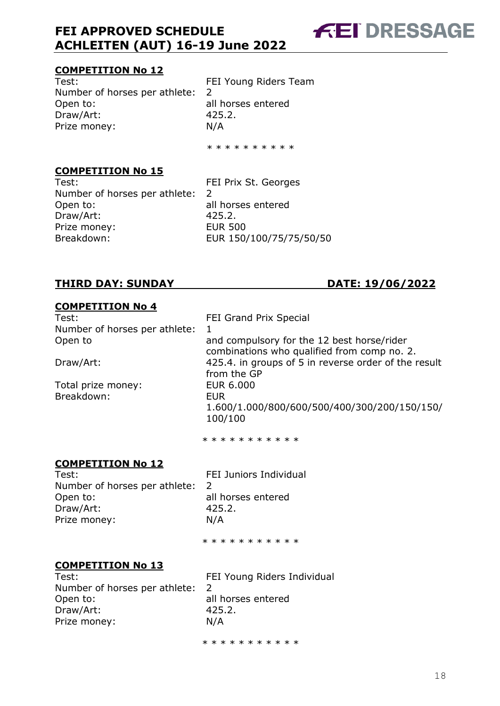#### **COMPETITION No 12**

Test: FEI Young Riders Team Number of horses per athlete: 2 Open to:<br>
Draw/Art:
1990 - Draw/Art:
1990 - 25.2. Draw/Art: Prize money: N/A

\* \* \* \* \* \* \* \* \*

#### **COMPETITION No 15**

Test: FEI Prix St. Georges Number of horses per athlete: 2 Open to: all horses entered Draw/Art: 425.2. Prize money: EUR 500 Breakdown: EUR 150/100/75/75/50/50

#### **THIRD DAY: SUNDAY DATE: 19/06/2022**

#### **COMPETITION No 4**

Test: Test: FEI Grand Prix Special Number of horses per athlete: 1

Total prize money: EUR 6.000 Breakdown: EUR

**FEI DRESSAGE** 

Open to and compulsory for the 12 best horse/rider combinations who qualified from comp no. 2. Draw/Art: 425.4. in groups of 5 in reverse order of the result from the GP 1.600/1.000/800/600/500/400/300/200/150/150/ 100/100

\* \* \* \* \* \* \* \* \* \*

#### **COMPETITION No 12**

Test: Test: Test: FEI Juniors Individual Number of horses per athlete: 2 Open to: all horses entered Draw/Art: 425.2. Prize money: N/A

\* \* \* \* \* \* \* \* \* \*

#### **COMPETITION No 13**

Number of horses per athlete: 2 Open to: all horses entered Draw/Art: 425.2. Prize money: N/A

Test: FEI Young Riders Individual

\* \* \* \* \* \* \* \* \* \* \*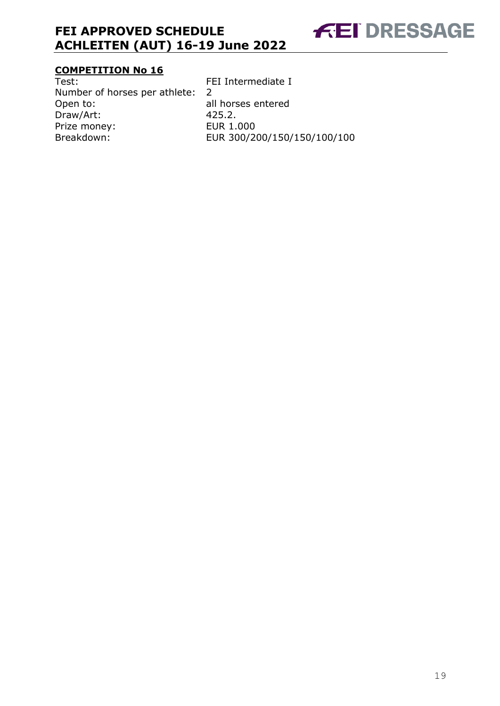

# **COMPETITION No 16**<br>Test:

Number of horses per athlete: 2 Open to: all horses entered<br>Draw/Art: 425.2. Draw/Art: 425.2.<br>Prize money: EUR 1.000 Prize money:<br>Breakdown:

FEI Intermediate I EUR 300/200/150/150/100/100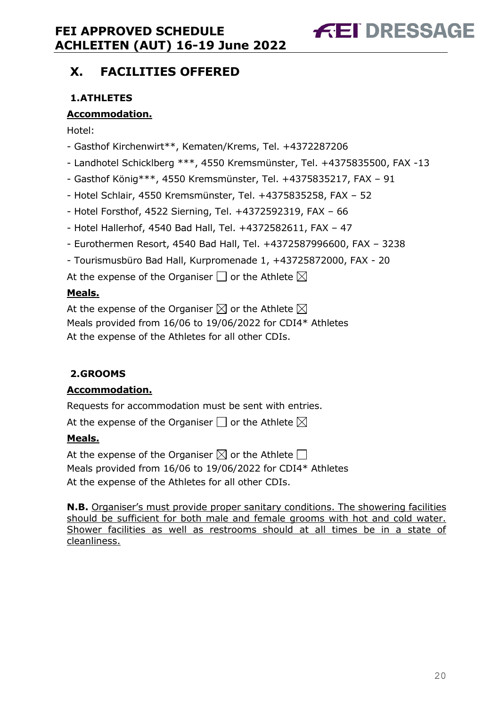# **FEI DRESSAGE**

### <span id="page-19-0"></span>**X. FACILITIES OFFERED**

### <span id="page-19-1"></span>**1.ATHLETES**

#### **Accommodation.**

Hotel:

- Gasthof Kirchenwirt\*\*, Kematen/Krems, Tel. +4372287206
- Landhotel Schicklberg \*\*\*, 4550 Kremsmünster, Tel. +4375835500, FAX -13
- Gasthof König\*\*\*, 4550 Kremsmünster, Tel. +4375835217, FAX 91
- Hotel Schlair, 4550 Kremsmünster, Tel. +4375835258, FAX 52
- Hotel Forsthof, 4522 Sierning, Tel. +4372592319, FAX 66
- Hotel Hallerhof, 4540 Bad Hall, Tel. +4372582611, FAX 47
- Eurothermen Resort, 4540 Bad Hall, Tel. +4372587996600, FAX 3238
- Tourismusbüro Bad Hall, Kurpromenade 1, +43725872000, FAX 20

At the expense of the Organiser  $\Box$  or the Athlete  $\boxtimes$ 

#### **Meals.**

At the expense of the Organiser  $\boxtimes$  or the Athlete  $\boxtimes$ Meals provided from 16/06 to 19/06/2022 for CDI4\* Athletes At the expense of the Athletes for all other CDIs.

#### <span id="page-19-2"></span>**2.GROOMS**

#### **Accommodation.**

Requests for accommodation must be sent with entries.

At the expense of the Organiser  $\square$  or the Athlete  $\boxtimes$ 

#### **Meals.**

At the expense of the Organiser  $\boxtimes$  or the Athlete  $\Box$ Meals provided from 16/06 to 19/06/2022 for CDI4\* Athletes At the expense of the Athletes for all other CDIs.

**N.B.** Organiser's must provide proper sanitary conditions. The showering facilities should be sufficient for both male and female grooms with hot and cold water. Shower facilities as well as restrooms should at all times be in a state of cleanliness.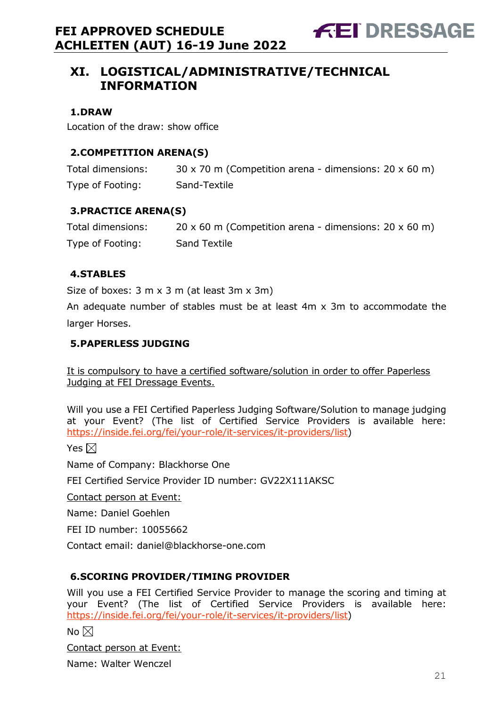### <span id="page-20-0"></span>**XI. LOGISTICAL/ADMINISTRATIVE/TECHNICAL INFORMATION**

#### <span id="page-20-1"></span>**1.DRAW**

Location of the draw: show office

#### <span id="page-20-2"></span>**2.COMPETITION ARENA(S)**

| Total dimensions: | $30 \times 70$ m (Competition arena - dimensions: 20 $\times$ 60 m) |
|-------------------|---------------------------------------------------------------------|
| Type of Footing:  | Sand-Textile                                                        |

#### <span id="page-20-3"></span>**3.PRACTICE ARENA(S)**

| Total dimensions: | 20 x 60 m (Competition arena - dimensions: $20 \times 60$ m) |
|-------------------|--------------------------------------------------------------|
| Type of Footing:  | <b>Sand Textile</b>                                          |

#### <span id="page-20-4"></span>**4.STABLES**

Size of boxes: 3 m x 3 m (at least 3m x 3m)

An adequate number of stables must be at least 4m x 3m to accommodate the larger Horses.

#### <span id="page-20-5"></span>**5.PAPERLESS JUDGING**

It is compulsory to have a certified software/solution in order to offer Paperless Judging at FEI Dressage Events.

Will you use a FEI Certified Paperless Judging Software/Solution to manage judging at your Event? (The list of Certified Service Providers is available here: [https://inside.fei.org/fei/your-role/it-services/it-providers/list\)](https://inside.fei.org/fei/your-role/it-services/it-providers/list)

Yes  $\boxtimes$ 

Name of Company: Blackhorse One

FEI Certified Service Provider ID number: GV22X111AKSC

Contact person at Event:

Name: Daniel Goehlen

FEI ID number: 10055662

Contact email: daniel@blackhorse-one.com

#### <span id="page-20-6"></span>**6.SCORING PROVIDER/TIMING PROVIDER**

Will you use a FEI Certified Service Provider to manage the scoring and timing at your Event? (The list of Certified Service Providers is available here: [https://inside.fei.org/fei/your-role/it-services/it-providers/list\)](https://inside.fei.org/fei/your-role/it-services/it-providers/list)

No  $\boxtimes$ 

Contact person at Event:

Name: Walter Wenczel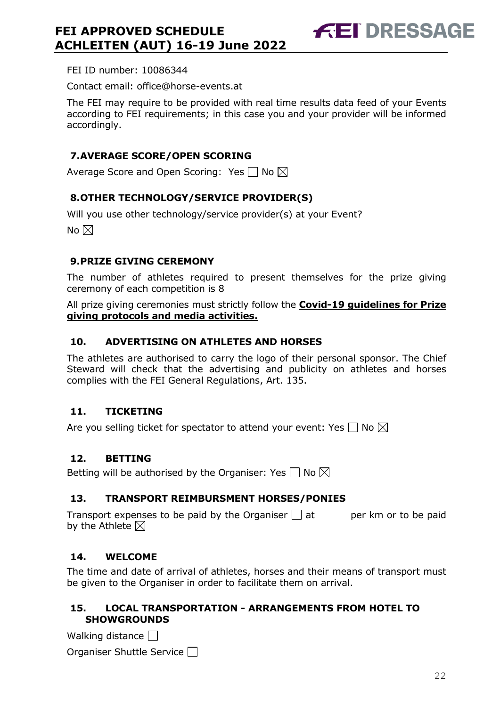FEI ID number: 10086344

Contact email: office@horse-events.at

The FEI may require to be provided with real time results data feed of your Events according to FEI requirements; in this case you and your provider will be informed accordingly.

#### <span id="page-21-0"></span>**7.AVERAGE SCORE/OPEN SCORING**

Average Score and Open Scoring: Yes  $\Box$  No  $\boxtimes$ 

#### <span id="page-21-1"></span>**8.OTHER TECHNOLOGY/SERVICE PROVIDER(S)**

Will you use other technology/service provider(s) at your Event?

No  $\boxtimes$ 

#### <span id="page-21-2"></span>**9.PRIZE GIVING CEREMONY**

The number of athletes required to present themselves for the prize giving ceremony of each competition is 8

All prize giving ceremonies must strictly follow the **Covid-19 guidelines for Prize giving protocols and media activities.**

#### <span id="page-21-3"></span>**10. ADVERTISING ON ATHLETES AND HORSES**

The athletes are authorised to carry the logo of their personal sponsor. The Chief Steward will check that the advertising and publicity on athletes and horses complies with the FEI General Regulations, Art. 135.

#### <span id="page-21-4"></span>**11. TICKETING**

Are you selling ticket for spectator to attend your event: Yes  $\Box$  No  $\boxtimes$ 

#### <span id="page-21-5"></span>**12. BETTING**

Betting will be authorised by the Organiser: Yes  $\Box$  No  $\boxtimes$ 

#### <span id="page-21-6"></span>**13. TRANSPORT REIMBURSMENT HORSES/PONIES**

Transport expenses to be paid by the Organiser  $\Box$  at experience to be paid by the Athlete  $\boxtimes$ 

#### <span id="page-21-7"></span>**14. WELCOME**

The time and date of arrival of athletes, horses and their means of transport must be given to the Organiser in order to facilitate them on arrival.

#### <span id="page-21-8"></span>**15. LOCAL TRANSPORTATION - ARRANGEMENTS FROM HOTEL TO SHOWGROUNDS**

Walking distance

Organiser Shuttle Service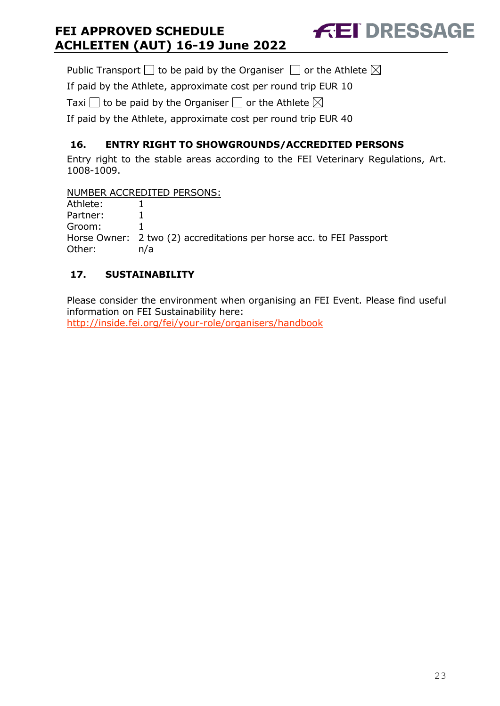Public Transport  $\Box$  to be paid by the Organiser  $\Box$  or the Athlete  $\boxtimes$ 

If paid by the Athlete, approximate cost per round trip EUR 10

Taxi  $\Box$  to be paid by the Organiser  $\Box$  or the Athlete  $\boxtimes$ 

If paid by the Athlete, approximate cost per round trip EUR 40

### <span id="page-22-0"></span>**16. ENTRY RIGHT TO SHOWGROUNDS/ACCREDITED PERSONS**

Entry right to the stable areas according to the FEI Veterinary Regulations, Art. 1008-1009.

**FEI DRESSAGE** 

NUMBER ACCREDITED PERSONS:

| Athlete: |                                                                      |
|----------|----------------------------------------------------------------------|
| Partner: |                                                                      |
| Groom:   |                                                                      |
|          | Horse Owner: 2 two (2) accreditations per horse acc. to FEI Passport |
| Other:   | n/a                                                                  |

### <span id="page-22-1"></span>**17. SUSTAINABILITY**

Please consider the environment when organising an FEI Event. Please find useful information on FEI Sustainability here: <http://inside.fei.org/fei/your-role/organisers/handbook>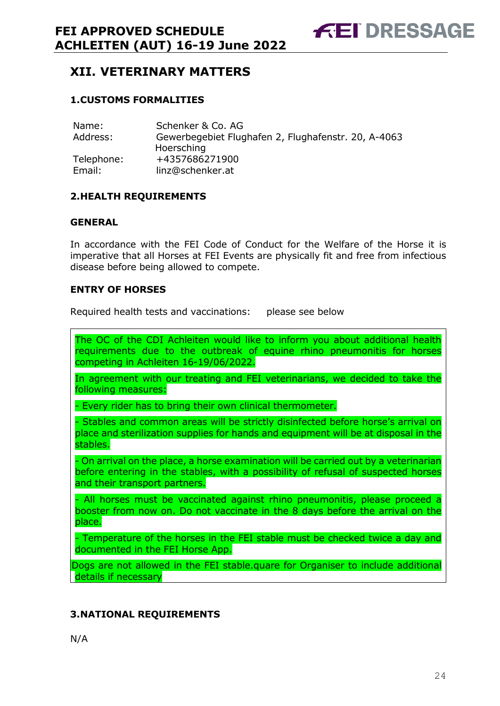### <span id="page-23-0"></span>**XII. VETERINARY MATTERS**

#### <span id="page-23-1"></span>**1.CUSTOMS FORMALITIES**

| Name:      | Schenker & Co. AG                                   |
|------------|-----------------------------------------------------|
| Address:   | Gewerbegebiet Flughafen 2, Flughafenstr. 20, A-4063 |
|            | Hoersching                                          |
| Telephone: | +4357686271900                                      |
| Email:     | linz@schenker.at                                    |

#### <span id="page-23-2"></span>**2.HEALTH REQUIREMENTS**

#### **GENERAL**

In accordance with the FEI Code of Conduct for the Welfare of the Horse it is imperative that all Horses at FEI Events are physically fit and free from infectious disease before being allowed to compete.

#### **ENTRY OF HORSES**

Required health tests and vaccinations: please see below

The OC of the CDI Achleiten would like to inform you about additional health requirements due to the outbreak of equine rhino pneumonitis for horses competing in Achleiten 16-19/06/2022.

In agreement with our treating and FEI veterinarians, we decided to take the following measures:

- Every rider has to bring their own clinical thermometer.

- Stables and common areas will be strictly disinfected before horse's arrival on place and sterilization supplies for hands and equipment will be at disposal in the stables.

- On arrival on the place, a horse examination will be carried out by a veterinarian before entering in the stables, with a possibility of refusal of suspected horses and their transport partners.

- All horses must be vaccinated against rhino pneumonitis, please proceed a booster from now on. Do not vaccinate in the 8 days before the arrival on the place.

- Temperature of the horses in the FEI stable must be checked twice a day and documented in the FEI Horse App.

Dogs are not allowed in the FEI stable.quare for Organiser to include additional details if necessary

#### <span id="page-23-3"></span>**3.NATIONAL REQUIREMENTS**

N/A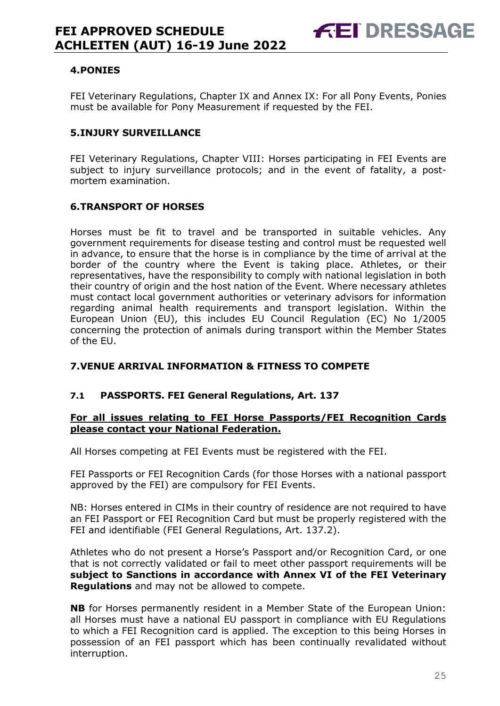#### <span id="page-24-0"></span>**4.PONIES**

FEI Veterinary Regulations, Chapter IX and Annex IX: For all Pony Events, Ponies must be available for Pony Measurement if requested by the FEI.

#### <span id="page-24-1"></span>**5.INJURY SURVEILLANCE**

FEI Veterinary Regulations, Chapter VIII: Horses participating in FEI Events are subject to injury surveillance protocols; and in the event of fatality, a postmortem examination.

#### <span id="page-24-2"></span>**6.TRANSPORT OF HORSES**

Horses must be fit to travel and be transported in suitable vehicles. Any government requirements for disease testing and control must be requested well in advance, to ensure that the horse is in compliance by the time of arrival at the border of the country where the Event is taking place. Athletes, or their representatives, have the responsibility to comply with national legislation in both their country of origin and the host nation of the Event. Where necessary athletes must contact local government authorities or veterinary advisors for information regarding animal health requirements and transport legislation. Within the European Union (EU), this includes EU Council Regulation (EC) No 1/2005 concerning the protection of animals during transport within the Member States of the EU.

#### <span id="page-24-3"></span>**7.VENUE ARRIVAL INFORMATION & FITNESS TO COMPETE**

#### **7.1 PASSPORTS. FEI General Regulations, Art. 137**

#### **For all issues relating to FEI Horse Passports/FEI Recognition Cards please contact your National Federation.**

All Horses competing at FEI Events must be registered with the FEI.

FEI Passports or FEI Recognition Cards (for those Horses with a national passport approved by the FEI) are compulsory for FEI Events.

NB: Horses entered in CIMs in their country of residence are not required to have an FEI Passport or FEI Recognition Card but must be properly registered with the FEI and identifiable (FEI General Regulations, Art. 137.2).

Athletes who do not present a Horse's Passport and/or Recognition Card, or one that is not correctly validated or fail to meet other passport requirements will be **subject to Sanctions in accordance with Annex VI of the FEI Veterinary Regulations** and may not be allowed to compete.

**NB** for Horses permanently resident in a Member State of the European Union: all Horses must have a national EU passport in compliance with EU Regulations to which a FEI Recognition card is applied. The exception to this being Horses in possession of an FEI passport which has been continually revalidated without interruption.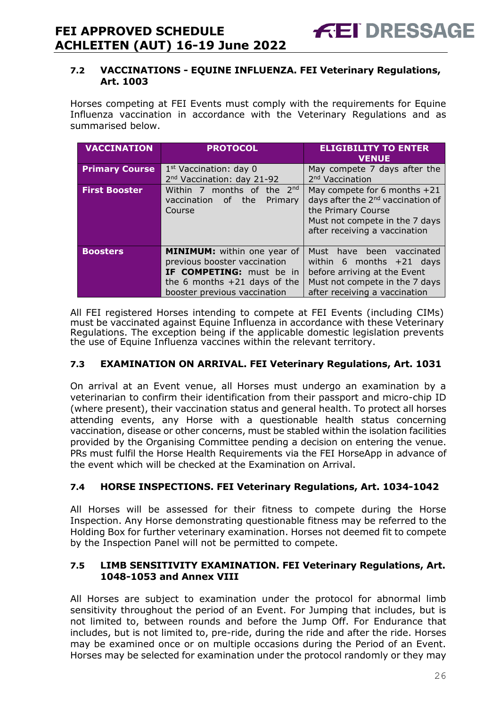#### **7.2 VACCINATIONS - EQUINE INFLUENZA. FEI Veterinary Regulations, Art. 1003**

Horses competing at FEI Events must comply with the requirements for Equine Influenza vaccination in accordance with the Veterinary Regulations and as summarised below.

| <b>VACCINATION</b>    | <b>PROTOCOL</b>                                                                                                                                           | <b>ELIGIBILITY TO ENTER</b><br><b>VENUE</b>                                                                                                                              |
|-----------------------|-----------------------------------------------------------------------------------------------------------------------------------------------------------|--------------------------------------------------------------------------------------------------------------------------------------------------------------------------|
| <b>Primary Course</b> | $1st$ Vaccination: day 0<br>2 <sup>nd</sup> Vaccination: day 21-92                                                                                        | May compete 7 days after the<br>2 <sup>nd</sup> Vaccination                                                                                                              |
| <b>First Booster</b>  | Within 7 months of the $2^{nd}$<br>vaccination of the<br>Primary<br>Course                                                                                | May compete for 6 months $+21$<br>days after the 2 <sup>nd</sup> vaccination of<br>the Primary Course<br>Must not compete in the 7 days<br>after receiving a vaccination |
| <b>Boosters</b>       | MINIMUM: within one year of<br>previous booster vaccination<br>IF COMPETING: must be in<br>the 6 months $+21$ days of the<br>booster previous vaccination | Must have been vaccinated<br>within 6 months $+21$ days<br>before arriving at the Event<br>Must not compete in the 7 days<br>after receiving a vaccination               |

All FEI registered Horses intending to compete at FEI Events (including CIMs) must be vaccinated against Equine Influenza in accordance with these Veterinary Regulations. The exception being if the applicable domestic legislation prevents the use of Equine Influenza vaccines within the relevant territory.

#### **7.3 EXAMINATION ON ARRIVAL. FEI Veterinary Regulations, Art. 1031**

On arrival at an Event venue, all Horses must undergo an examination by a veterinarian to confirm their identification from their passport and micro-chip ID (where present), their vaccination status and general health. To protect all horses attending events, any Horse with a questionable health status concerning vaccination, disease or other concerns, must be stabled within the isolation facilities provided by the Organising Committee pending a decision on entering the venue. PRs must fulfil the Horse Health Requirements via the FEI HorseApp in advance of the event which will be checked at the Examination on Arrival.

#### **7.4 HORSE INSPECTIONS. FEI Veterinary Regulations, Art. 1034-1042**

All Horses will be assessed for their fitness to compete during the Horse Inspection. Any Horse demonstrating questionable fitness may be referred to the Holding Box for further veterinary examination. Horses not deemed fit to compete by the Inspection Panel will not be permitted to compete.

#### **7.5 LIMB SENSITIVITY EXAMINATION. FEI Veterinary Regulations, Art. 1048-1053 and Annex VIII**

All Horses are subject to examination under the protocol for abnormal limb sensitivity throughout the period of an Event. For Jumping that includes, but is not limited to, between rounds and before the Jump Off. For Endurance that includes, but is not limited to, pre-ride, during the ride and after the ride. Horses may be examined once or on multiple occasions during the Period of an Event. Horses may be selected for examination under the protocol randomly or they may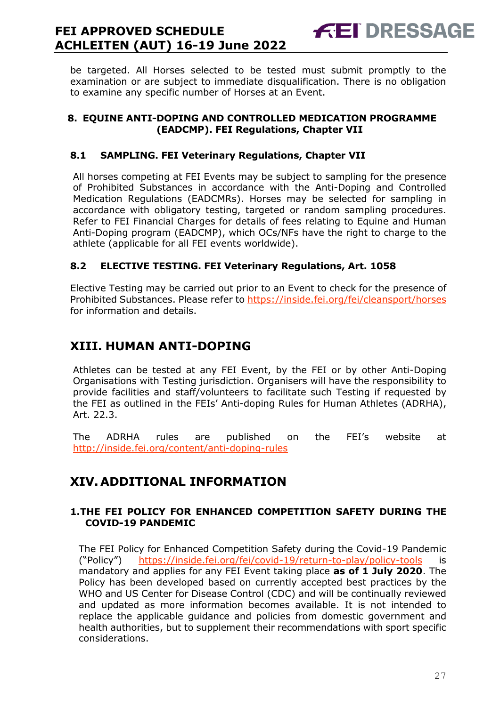be targeted. All Horses selected to be tested must submit promptly to the examination or are subject to immediate disqualification. There is no obligation to examine any specific number of Horses at an Event.

**FEI DRESSAGE** 

#### <span id="page-26-0"></span>**8. EQUINE ANTI-DOPING AND CONTROLLED MEDICATION PROGRAMME (EADCMP). FEI Regulations, Chapter VII**

#### **8.1 SAMPLING. FEI Veterinary Regulations, Chapter VII**

All horses competing at FEI Events may be subject to sampling for the presence of Prohibited Substances in accordance with the Anti-Doping and Controlled Medication Regulations (EADCMRs). Horses may be selected for sampling in accordance with obligatory testing, targeted or random sampling procedures. Refer to FEI Financial Charges for details of fees relating to Equine and Human Anti-Doping program (EADCMP), which OCs/NFs have the right to charge to the athlete (applicable for all FEI events worldwide).

#### **8.2 ELECTIVE TESTING. FEI Veterinary Regulations, Art. 1058**

Elective Testing may be carried out prior to an Event to check for the presence of Prohibited Substances. Please refer to https://inside.fei.org/fei/cleansport/horses for information and details.

### <span id="page-26-1"></span>**XIII. HUMAN ANTI-DOPING**

Athletes can be tested at any FEI Event, by the FEI or by other Anti-Doping Organisations with Testing jurisdiction. Organisers will have the responsibility to provide facilities and staff/volunteers to facilitate such Testing if requested by the FEI as outlined in the FEIs' Anti-doping Rules for Human Athletes (ADRHA), Art. 22.3.

The ADRHA rules are published on the FEI's website at <http://inside.fei.org/content/anti-doping-rules>

### <span id="page-26-2"></span>**XIV. ADDITIONAL INFORMATION**

#### <span id="page-26-3"></span>**1.THE FEI POLICY FOR ENHANCED COMPETITION SAFETY DURING THE COVID-19 PANDEMIC**

The FEI Policy for Enhanced Competition Safety during the Covid-19 Pandemic ("Policy") <https://inside.fei.org/fei/covid-19/return-to-play/policy-tools> is mandatory and applies for any FEI Event taking place **as of 1 July 2020**. The Policy has been developed based on currently accepted best practices by the WHO and US Center for Disease Control (CDC) and will be continually reviewed and updated as more information becomes available. It is not intended to replace the applicable guidance and policies from domestic government and health authorities, but to supplement their recommendations with sport specific considerations.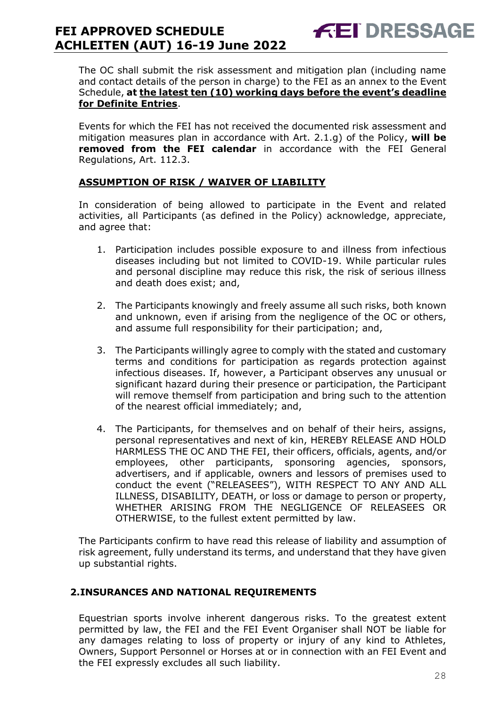The OC shall submit the risk assessment and mitigation plan (including name and contact details of the person in charge) to the FEI as an annex to the Event Schedule, **at the latest ten (10) working days before the event's deadline for Definite Entries**.

**FEI DRESSAGE** 

Events for which the FEI has not received the documented risk assessment and mitigation measures plan in accordance with Art. 2.1.g) of the Policy, **will be removed from the FEI calendar** in accordance with the FEI General Regulations, Art. 112.3.

#### **ASSUMPTION OF RISK / WAIVER OF LIABILITY**

In consideration of being allowed to participate in the Event and related activities, all Participants (as defined in the Policy) acknowledge, appreciate, and agree that:

- 1. Participation includes possible exposure to and illness from infectious diseases including but not limited to COVID-19. While particular rules and personal discipline may reduce this risk, the risk of serious illness and death does exist; and,
- 2. The Participants knowingly and freely assume all such risks, both known and unknown, even if arising from the negligence of the OC or others, and assume full responsibility for their participation; and,
- 3. The Participants willingly agree to comply with the stated and customary terms and conditions for participation as regards protection against infectious diseases. If, however, a Participant observes any unusual or significant hazard during their presence or participation, the Participant will remove themself from participation and bring such to the attention of the nearest official immediately; and,
- 4. The Participants, for themselves and on behalf of their heirs, assigns, personal representatives and next of kin, HEREBY RELEASE AND HOLD HARMLESS THE OC AND THE FEI, their officers, officials, agents, and/or employees, other participants, sponsoring agencies, sponsors, advertisers, and if applicable, owners and lessors of premises used to conduct the event ("RELEASEES"), WITH RESPECT TO ANY AND ALL ILLNESS, DISABILITY, DEATH, or loss or damage to person or property, WHETHER ARISING FROM THE NEGLIGENCE OF RELEASEES OR OTHERWISE, to the fullest extent permitted by law.

The Participants confirm to have read this release of liability and assumption of risk agreement, fully understand its terms, and understand that they have given up substantial rights.

#### <span id="page-27-0"></span>**2.INSURANCES AND NATIONAL REQUIREMENTS**

Equestrian sports involve inherent dangerous risks. To the greatest extent permitted by law, the FEI and the FEI Event Organiser shall NOT be liable for any damages relating to loss of property or injury of any kind to Athletes, Owners, Support Personnel or Horses at or in connection with an FEI Event and the FEI expressly excludes all such liability.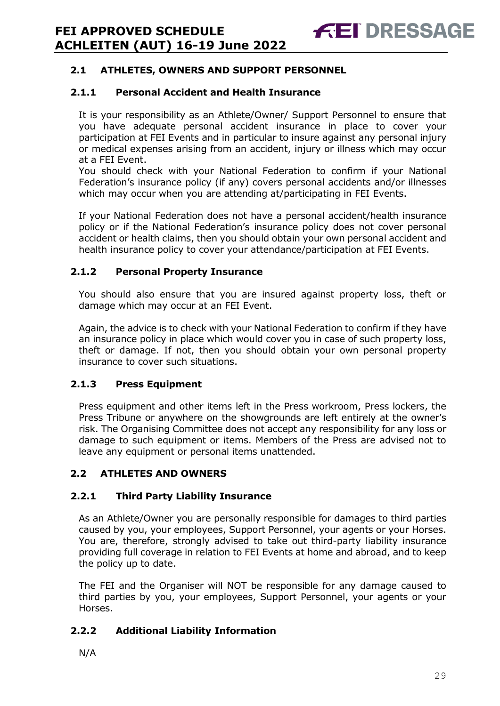#### **2.1 ATHLETES, OWNERS AND SUPPORT PERSONNEL**

#### **2.1.1 Personal Accident and Health Insurance**

It is your responsibility as an Athlete/Owner/ Support Personnel to ensure that you have adequate personal accident insurance in place to cover your participation at FEI Events and in particular to insure against any personal injury or medical expenses arising from an accident, injury or illness which may occur at a FEI Event.

You should check with your National Federation to confirm if your National Federation's insurance policy (if any) covers personal accidents and/or illnesses which may occur when you are attending at/participating in FEI Events.

If your National Federation does not have a personal accident/health insurance policy or if the National Federation's insurance policy does not cover personal accident or health claims, then you should obtain your own personal accident and health insurance policy to cover your attendance/participation at FEI Events.

#### **2.1.2 Personal Property Insurance**

You should also ensure that you are insured against property loss, theft or damage which may occur at an FEI Event.

Again, the advice is to check with your National Federation to confirm if they have an insurance policy in place which would cover you in case of such property loss, theft or damage. If not, then you should obtain your own personal property insurance to cover such situations.

#### **2.1.3 Press Equipment**

Press equipment and other items left in the Press workroom, Press lockers, the Press Tribune or anywhere on the showgrounds are left entirely at the owner's risk. The Organising Committee does not accept any responsibility for any loss or damage to such equipment or items. Members of the Press are advised not to leave any equipment or personal items unattended.

#### **2.2 ATHLETES AND OWNERS**

#### **2.2.1 Third Party Liability Insurance**

As an Athlete/Owner you are personally responsible for damages to third parties caused by you, your employees, Support Personnel, your agents or your Horses. You are, therefore, strongly advised to take out third-party liability insurance providing full coverage in relation to FEI Events at home and abroad, and to keep the policy up to date.

The FEI and the Organiser will NOT be responsible for any damage caused to third parties by you, your employees, Support Personnel, your agents or your Horses.

#### **2.2.2 Additional Liability Information**

N/A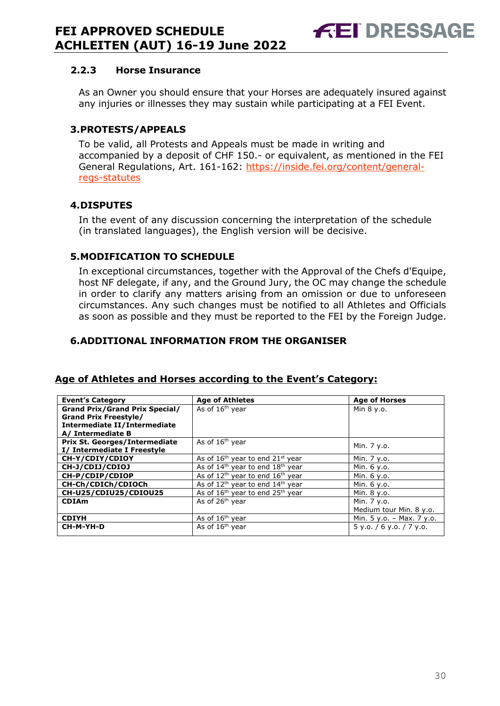#### **2.2.3 Horse Insurance**

As an Owner you should ensure that your Horses are adequately insured against any injuries or illnesses they may sustain while participating at a FEI Event.

#### <span id="page-29-0"></span>**3.PROTESTS/APPEALS**

To be valid, all Protests and Appeals must be made in writing and accompanied by a deposit of CHF 150.- or equivalent, as mentioned in the FEI General Regulations, Art. 161-162: [https://inside.fei.org/content/general](https://inside.fei.org/content/general-regs-statutes)[regs-statutes](https://inside.fei.org/content/general-regs-statutes)

#### <span id="page-29-1"></span>**4.DISPUTES**

In the event of any discussion concerning the interpretation of the schedule (in translated languages), the English version will be decisive.

#### <span id="page-29-2"></span>**5.MODIFICATION TO SCHEDULE**

In exceptional circumstances, together with the Approval of the Chefs d'Equipe, host NF delegate, if any, and the Ground Jury, the OC may change the schedule in order to clarify any matters arising from an omission or due to unforeseen circumstances. Any such changes must be notified to all Athletes and Officials as soon as possible and they must be reported to the FEI by the Foreign Judge.

#### <span id="page-29-3"></span>**6.ADDITIONAL INFORMATION FROM THE ORGANISER**

| <b>Event's Category</b>               | <b>Age of Athletes</b>                     | <b>Age of Horses</b>      |
|---------------------------------------|--------------------------------------------|---------------------------|
| <b>Grand Prix/Grand Prix Special/</b> | As of 16 <sup>th</sup> year                | Min 8 y.o.                |
| <b>Grand Prix Freestyle/</b>          |                                            |                           |
| Intermediate II/Intermediate          |                                            |                           |
| A/ Intermediate B                     |                                            |                           |
| Prix St. Georges/Intermediate         | As of 16 <sup>th</sup> year                | Min. 7 y.o.               |
| I/ Intermediate I Freestyle           |                                            |                           |
| CH-Y/CDIY/CDIOY                       | As of $16th$ year to end $21st$ year       | Min. 7 y.o.               |
| CH-J/CDIJ/CDIOJ                       | As of $14th$ year to end $18th$ year       | Min. 6 y.o.               |
| CH-P/CDIP/CDIOP                       | As of $12^{th}$ year to end $16^{th}$ year | Min. 6 y.o.               |
| CH-Ch/CDICh/CDIOCh                    | As of $12^{th}$ year to end $14^{th}$ year | Min. 6 y.o.               |
| CH-U25/CDIU25/CDIOU25                 | As of $16th$ year to end $25th$ year       | Min. 8 y.o.               |
| <b>CDIAm</b>                          | As of $26th$ year                          | Min. 7 y.o.               |
|                                       |                                            | Medium tour Min. 8 y.o.   |
| <b>CDIYH</b>                          | As of 16 <sup>th</sup> year                | Min. 5 y.o. - Max. 7 y.o. |
| CH-M-YH-D                             | As of 16 <sup>th</sup> year                | 5 y.o. / 6 y.o. / 7 y.o.  |

#### **Age of Athletes and Horses according to the Event's Category:**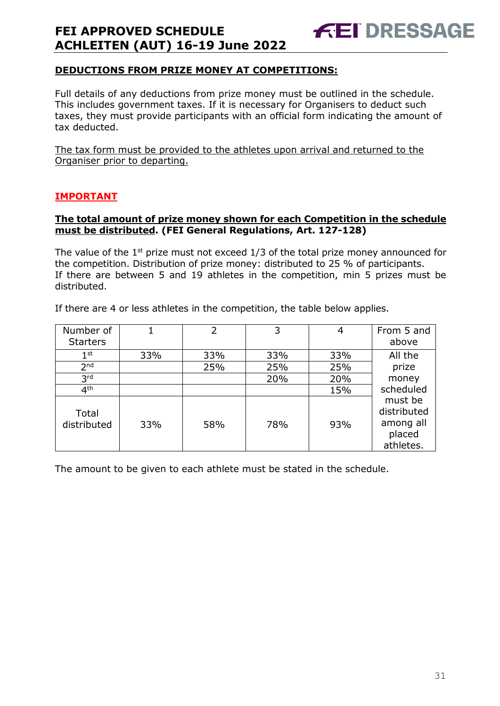#### **DEDUCTIONS FROM PRIZE MONEY AT COMPETITIONS:**

Full details of any deductions from prize money must be outlined in the schedule. This includes government taxes. If it is necessary for Organisers to deduct such taxes, they must provide participants with an official form indicating the amount of tax deducted.

**FEI DRESSAGE** 

The tax form must be provided to the athletes upon arrival and returned to the Organiser prior to departing.

#### **IMPORTANT**

#### **The total amount of prize money shown for each Competition in the schedule must be distributed. (FEI General Regulations, Art. 127-128)**

The value of the  $1<sup>st</sup>$  prize must not exceed  $1/3$  of the total prize money announced for the competition. Distribution of prize money: distributed to 25 % of participants. If there are between 5 and 19 athletes in the competition, min 5 prizes must be distributed.

|  |  | If there are 4 or less athletes in the competition, the table below applies. |  |  |  |  |
|--|--|------------------------------------------------------------------------------|--|--|--|--|
|  |  |                                                                              |  |  |  |  |
|  |  |                                                                              |  |  |  |  |

| Number of<br><b>Starters</b> |     | 2   | 3   | 4   | From 5 and<br>above                                        |
|------------------------------|-----|-----|-----|-----|------------------------------------------------------------|
| $1^{\rm st}$                 | 33% | 33% | 33% | 33% | All the                                                    |
| 2 <sub>nd</sub>              |     | 25% | 25% | 25% | prize                                                      |
| 3 <sup>rd</sup>              |     |     | 20% | 20% | money                                                      |
| 4 <sup>th</sup>              |     |     |     | 15% | scheduled                                                  |
| Total<br>distributed         | 33% | 58% | 78% | 93% | must be<br>distributed<br>among all<br>placed<br>athletes. |

The amount to be given to each athlete must be stated in the schedule.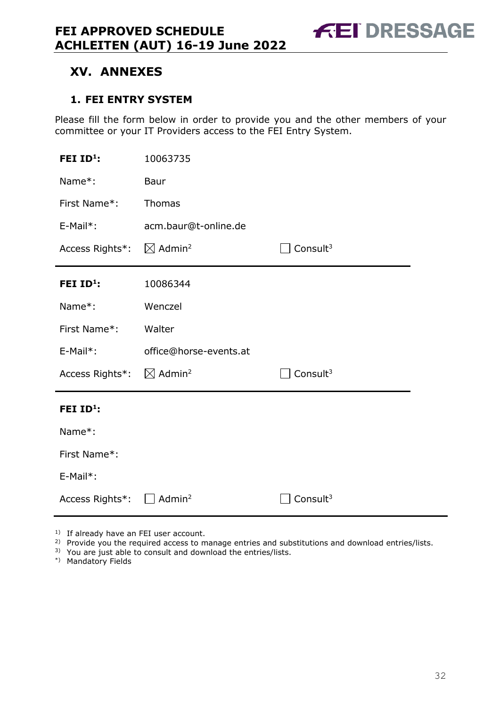**FEI DRESSAGE** 

### <span id="page-31-0"></span>**XV. ANNEXES**

#### <span id="page-31-1"></span>**1. FEI ENTRY SYSTEM**

Please fill the form below in order to provide you and the other members of your committee or your IT Providers access to the FEI Entry System.

| FEI ID <sup>1</sup> : | 10063735                       |                      |
|-----------------------|--------------------------------|----------------------|
| Name*:                | Baur                           |                      |
| First Name*:          | Thomas                         |                      |
| E-Mail*:              | acm.baur@t-online.de           |                      |
| Access Rights*:       | $\boxtimes$ Admin <sup>2</sup> | Consult $3$          |
| FEI $ID^1$ :          | 10086344                       |                      |
| Name*:                | Wenczel                        |                      |
| First Name*:          | Walter                         |                      |
| E-Mail*:              | office@horse-events.at         |                      |
| Access Rights*:       | $\boxtimes$ Admin <sup>2</sup> | Consult <sup>3</sup> |
| FEI $ID^1$ :          |                                |                      |
| Name*:                |                                |                      |
|                       |                                |                      |
| First Name*:          |                                |                      |
| E-Mail*:              |                                |                      |

<sup>1)</sup> If already have an FEI user account.

<sup>2)</sup> Provide you the required access to manage entries and substitutions and download entries/lists.

3) You are just able to consult and download the entries/lists.

\*) Mandatory Fields